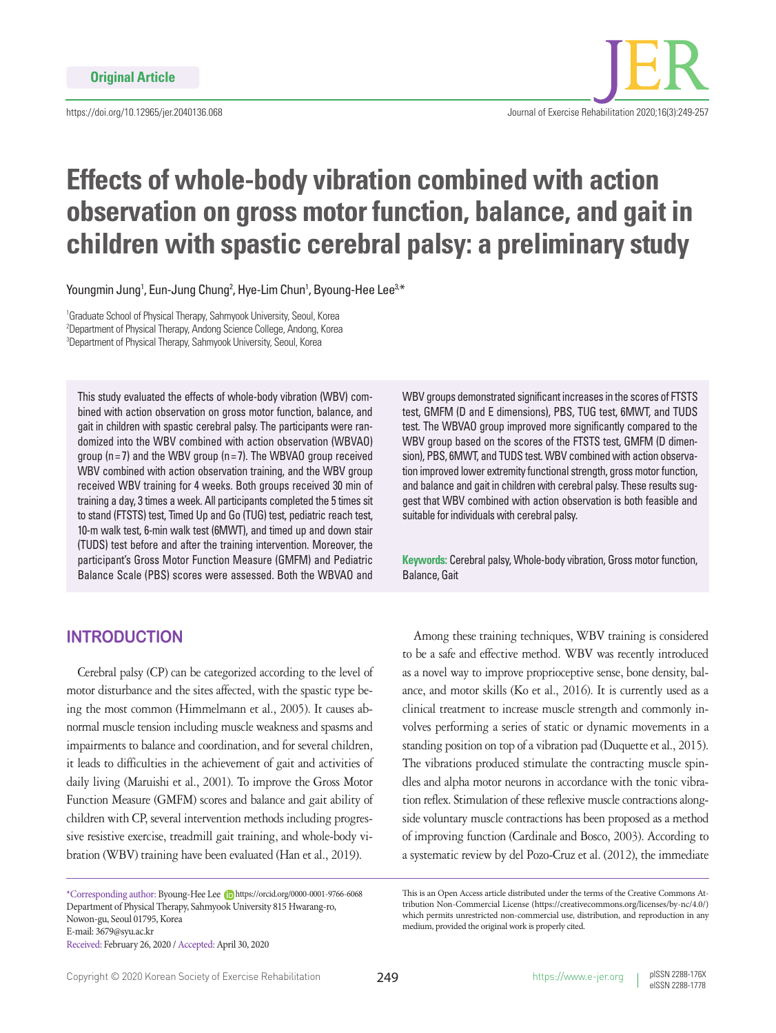

# **Effects of whole-body vibration combined with action observation on gross motor function, balance, and gait in children with spastic cerebral palsy: a preliminary study**

Youngmin Jung<sup>1</sup>, Eun-Jung Chung<sup>2</sup>, Hye-Lim Chun<sup>1</sup>, Byoung-Hee Lee<sup>3,\*</sup>

<sup>1</sup>Graduate School of Physical Therapy, Sahmyook University, Seoul, Korea 2 Department of Physical Therapy, Andong Science College, Andong, Korea 3 Department of Physical Therapy, Sahmyook University, Seoul, Korea

This study evaluated the effects of whole-body vibration (WBV) combined with action observation on gross motor function, balance, and gait in children with spastic cerebral palsy. The participants were randomized into the WBV combined with action observation (WBVAO) group ( $n= 7$ ) and the WBV group ( $n= 7$ ). The WBVAO group received WBV combined with action observation training, and the WBV group received WBV training for 4 weeks. Both groups received 30 min of training a day, 3 times a week. All participants completed the 5 times sit to stand (FTSTS) test, Timed Up and Go (TUG) test, pediatric reach test, 10-m walk test, 6-min walk test (6MWT), and timed up and down stair (TUDS) test before and after the training intervention. Moreover, the participant's Gross Motor Function Measure (GMFM) and Pediatric Balance Scale (PBS) scores were assessed. Both the WBVAO and

# **INTRODUCTION**

Cerebral palsy (CP) can be categorized according to the level of motor disturbance and the sites affected, with the spastic type being the most common (Himmelmann et al., 2005). It causes abnormal muscle tension including muscle weakness and spasms and impairments to balance and coordination, and for several children, it leads to difficulties in the achievement of gait and activities of daily living (Maruishi et al., 2001). To improve the Gross Motor Function Measure (GMFM) scores and balance and gait ability of children with CP, several intervention methods including progressive resistive exercise, treadmill gait training, and whole-body vibration (WBV) training have been evaluated (Han et al., 2019).

\*Corresponding author: Byoung-Hee Lee https://orcid.org/0000-0001-9766-6068 Department of Physical Therapy, Sahmyook University 815 Hwarang-ro, Nowon-gu, Seoul 01795, Korea E-mail: 3679@syu.ac.kr Received: February 26, 2020 / Accepted: April 30, 2020

WBV groups demonstrated significant increases in the scores of FTSTS test, GMFM (D and E dimensions), PBS, TUG test, 6MWT, and TUDS test. The WBVAO group improved more significantly compared to the WBV group based on the scores of the FTSTS test, GMFM (D dimension), PBS, 6MWT, and TUDS test. WBV combined with action observation improved lower extremity functional strength, gross motor function, and balance and gait in children with cerebral palsy. These results suggest that WBV combined with action observation is both feasible and suitable for individuals with cerebral palsy.

**Keywords:** Cerebral palsy, Whole-body vibration, Gross motor function, Balance, Gait

Among these training techniques, WBV training is considered to be a safe and effective method. WBV was recently introduced as a novel way to improve proprioceptive sense, bone density, balance, and motor skills (Ko et al., 2016). It is currently used as a clinical treatment to increase muscle strength and commonly involves performing a series of static or dynamic movements in a standing position on top of a vibration pad (Duquette et al., 2015). The vibrations produced stimulate the contracting muscle spindles and alpha motor neurons in accordance with the tonic vibration reflex. Stimulation of these reflexive muscle contractions alongside voluntary muscle contractions has been proposed as a method of improving function (Cardinale and Bosco, 2003). According to a systematic review by del Pozo-Cruz et al. (2012), the immediate

This is an Open Access article distributed under the terms of the Creative Commons Attribution Non-Commercial License (https://creativecommons.org/licenses/by-nc/4.0/) which permits unrestricted non-commercial use, distribution, and reproduction in any medium, provided the original work is properly cited.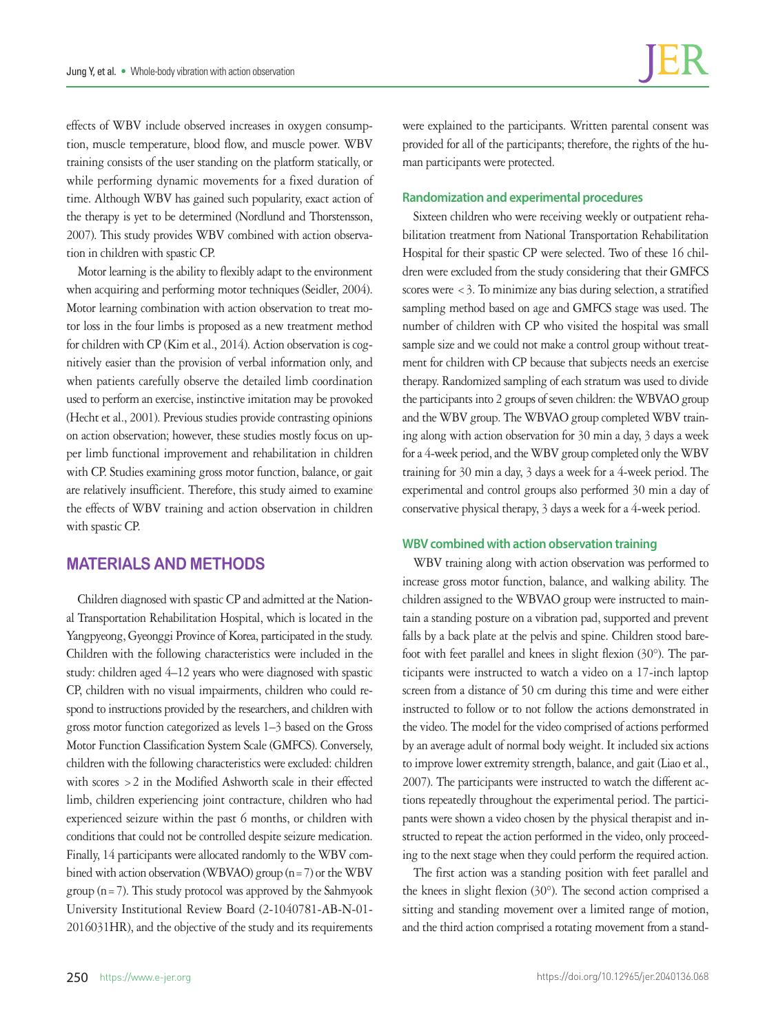effects of WBV include observed increases in oxygen consumption, muscle temperature, blood flow, and muscle power. WBV training consists of the user standing on the platform statically, or while performing dynamic movements for a fixed duration of time. Although WBV has gained such popularity, exact action of the therapy is yet to be determined (Nordlund and Thorstensson, 2007). This study provides WBV combined with action observation in children with spastic CP.

Motor learning is the ability to flexibly adapt to the environment when acquiring and performing motor techniques (Seidler, 2004). Motor learning combination with action observation to treat motor loss in the four limbs is proposed as a new treatment method for children with CP (Kim et al., 2014). Action observation is cognitively easier than the provision of verbal information only, and when patients carefully observe the detailed limb coordination used to perform an exercise, instinctive imitation may be provoked (Hecht et al., 2001). Previous studies provide contrasting opinions on action observation; however, these studies mostly focus on upper limb functional improvement and rehabilitation in children with CP. Studies examining gross motor function, balance, or gait are relatively insufficient. Therefore, this study aimed to examine the effects of WBV training and action observation in children with spastic CP.

# **MATERIALS AND METHODS**

Children diagnosed with spastic CP and admitted at the National Transportation Rehabilitation Hospital, which is located in the Yangpyeong, Gyeonggi Province of Korea, participated in the study. Children with the following characteristics were included in the study: children aged 4–12 years who were diagnosed with spastic CP, children with no visual impairments, children who could respond to instructions provided by the researchers, and children with gross motor function categorized as levels 1–3 based on the Gross Motor Function Classification System Scale (GMFCS). Conversely, children with the following characteristics were excluded: children with scores >2 in the Modified Ashworth scale in their effected limb, children experiencing joint contracture, children who had experienced seizure within the past 6 months, or children with conditions that could not be controlled despite seizure medication. Finally, 14 participants were allocated randomly to the WBV combined with action observation (WBVAO) group (n=7) or the WBV group ( $n=7$ ). This study protocol was approved by the Sahmyook University Institutional Review Board (2-1040781-AB-N-01- 2016031HR), and the objective of the study and its requirements were explained to the participants. Written parental consent was provided for all of the participants; therefore, the rights of the human participants were protected.

# **Randomization and experimental procedures**

Sixteen children who were receiving weekly or outpatient rehabilitation treatment from National Transportation Rehabilitation Hospital for their spastic CP were selected. Two of these 16 children were excluded from the study considering that their GMFCS scores were  $<$  3. To minimize any bias during selection, a stratified sampling method based on age and GMFCS stage was used. The number of children with CP who visited the hospital was small sample size and we could not make a control group without treatment for children with CP because that subjects needs an exercise therapy. Randomized sampling of each stratum was used to divide the participants into 2 groups of seven children: the WBVAO group and the WBV group. The WBVAO group completed WBV training along with action observation for 30 min a day, 3 days a week for a 4-week period, and the WBV group completed only the WBV training for 30 min a day, 3 days a week for a 4-week period. The experimental and control groups also performed 30 min a day of conservative physical therapy, 3 days a week for a 4-week period.

# **WBV combined with action observation training**

WBV training along with action observation was performed to increase gross motor function, balance, and walking ability. The children assigned to the WBVAO group were instructed to maintain a standing posture on a vibration pad, supported and prevent falls by a back plate at the pelvis and spine. Children stood barefoot with feet parallel and knees in slight flexion (30°). The participants were instructed to watch a video on a 17-inch laptop screen from a distance of 50 cm during this time and were either instructed to follow or to not follow the actions demonstrated in the video. The model for the video comprised of actions performed by an average adult of normal body weight. It included six actions to improve lower extremity strength, balance, and gait (Liao et al., 2007). The participants were instructed to watch the different actions repeatedly throughout the experimental period. The participants were shown a video chosen by the physical therapist and instructed to repeat the action performed in the video, only proceeding to the next stage when they could perform the required action.

The first action was a standing position with feet parallel and the knees in slight flexion (30°). The second action comprised a sitting and standing movement over a limited range of motion, and the third action comprised a rotating movement from a stand-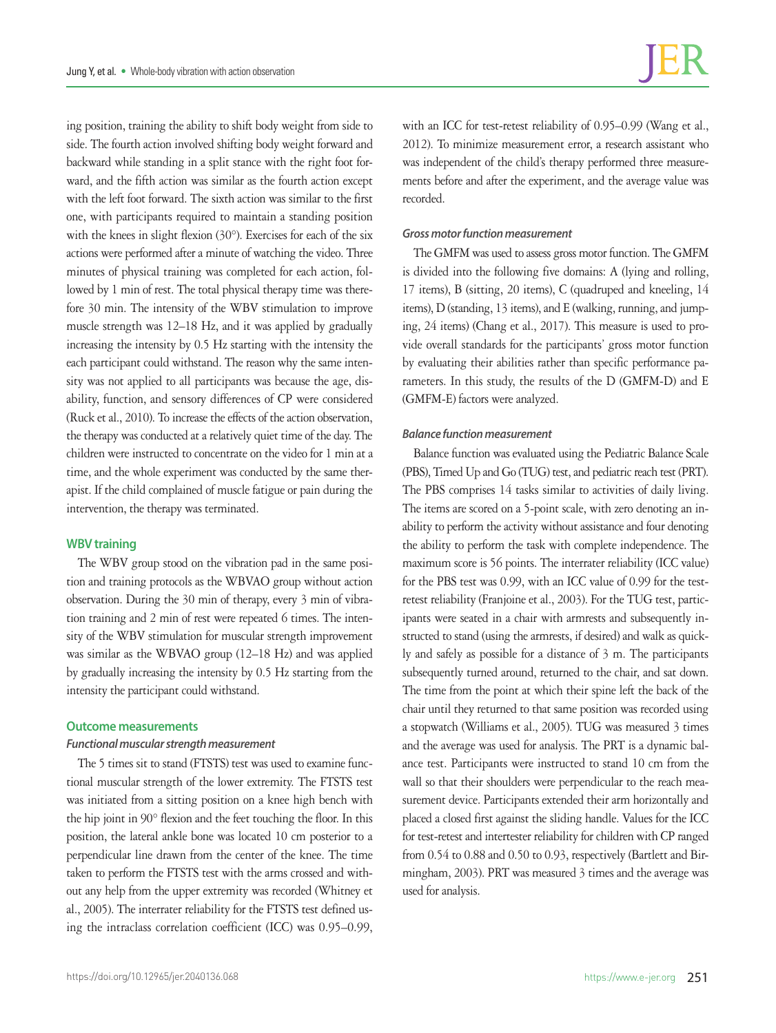ing position, training the ability to shift body weight from side to side. The fourth action involved shifting body weight forward and backward while standing in a split stance with the right foot forward, and the fifth action was similar as the fourth action except with the left foot forward. The sixth action was similar to the first one, with participants required to maintain a standing position with the knees in slight flexion (30°). Exercises for each of the six actions were performed after a minute of watching the video. Three minutes of physical training was completed for each action, followed by 1 min of rest. The total physical therapy time was therefore 30 min. The intensity of the WBV stimulation to improve muscle strength was 12–18 Hz, and it was applied by gradually increasing the intensity by 0.5 Hz starting with the intensity the each participant could withstand. The reason why the same intensity was not applied to all participants was because the age, disability, function, and sensory differences of CP were considered (Ruck et al., 2010). To increase the effects of the action observation, the therapy was conducted at a relatively quiet time of the day. The children were instructed to concentrate on the video for 1 min at a time, and the whole experiment was conducted by the same therapist. If the child complained of muscle fatigue or pain during the intervention, the therapy was terminated.

# **WBV training**

The WBV group stood on the vibration pad in the same position and training protocols as the WBVAO group without action observation. During the 30 min of therapy, every 3 min of vibration training and 2 min of rest were repeated 6 times. The intensity of the WBV stimulation for muscular strength improvement was similar as the WBVAO group (12–18 Hz) and was applied by gradually increasing the intensity by 0.5 Hz starting from the intensity the participant could withstand.

### **Outcome measurements**

### *Functional muscular strength measurement*

The 5 times sit to stand (FTSTS) test was used to examine functional muscular strength of the lower extremity. The FTSTS test was initiated from a sitting position on a knee high bench with the hip joint in 90° flexion and the feet touching the floor. In this position, the lateral ankle bone was located 10 cm posterior to a perpendicular line drawn from the center of the knee. The time taken to perform the FTSTS test with the arms crossed and without any help from the upper extremity was recorded (Whitney et al., 2005). The interrater reliability for the FTSTS test defined using the intraclass correlation coefficient (ICC) was 0.95–0.99,

with an ICC for test-retest reliability of 0.95–0.99 (Wang et al., 2012). To minimize measurement error, a research assistant who was independent of the child's therapy performed three measurements before and after the experiment, and the average value was recorded.

### *Gross motor function measurement*

The GMFM was used to assess gross motor function. The GMFM is divided into the following five domains: A (lying and rolling, 17 items), B (sitting, 20 items), C (quadruped and kneeling, 14 items), D (standing, 13 items), and E (walking, running, and jumping, 24 items) (Chang et al., 2017). This measure is used to provide overall standards for the participants' gross motor function by evaluating their abilities rather than specific performance parameters. In this study, the results of the D (GMFM-D) and E (GMFM-E) factors were analyzed.

# *Balance function measurement*

Balance function was evaluated using the Pediatric Balance Scale (PBS), Timed Up and Go (TUG) test, and pediatric reach test (PRT). The PBS comprises 14 tasks similar to activities of daily living. The items are scored on a 5-point scale, with zero denoting an inability to perform the activity without assistance and four denoting the ability to perform the task with complete independence. The maximum score is 56 points. The interrater reliability (ICC value) for the PBS test was 0.99, with an ICC value of 0.99 for the testretest reliability (Franjoine et al., 2003). For the TUG test, participants were seated in a chair with armrests and subsequently instructed to stand (using the armrests, if desired) and walk as quickly and safely as possible for a distance of 3 m. The participants subsequently turned around, returned to the chair, and sat down. The time from the point at which their spine left the back of the chair until they returned to that same position was recorded using a stopwatch (Williams et al., 2005). TUG was measured 3 times and the average was used for analysis. The PRT is a dynamic balance test. Participants were instructed to stand 10 cm from the wall so that their shoulders were perpendicular to the reach measurement device. Participants extended their arm horizontally and placed a closed first against the sliding handle. Values for the ICC for test-retest and intertester reliability for children with CP ranged from 0.54 to 0.88 and 0.50 to 0.93, respectively (Bartlett and Birmingham, 2003). PRT was measured 3 times and the average was used for analysis.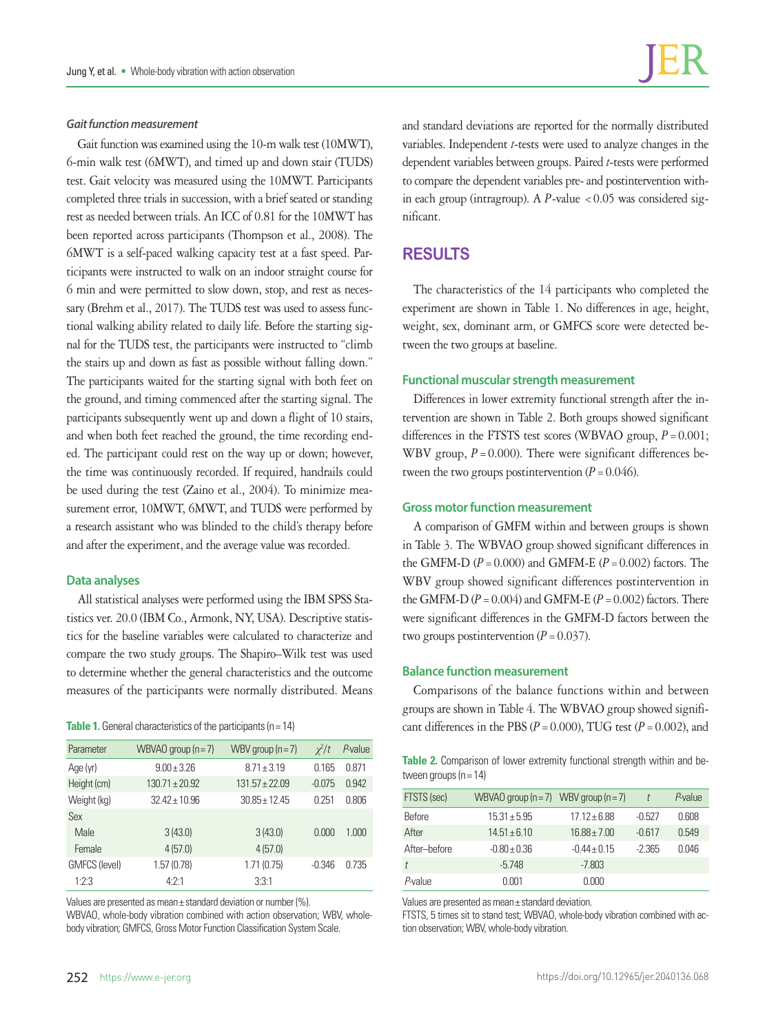Gait function was examined using the 10-m walk test (10MWT), 6-min walk test (6MWT), and timed up and down stair (TUDS) test. Gait velocity was measured using the 10MWT. Participants completed three trials in succession, with a brief seated or standing rest as needed between trials. An ICC of 0.81 for the 10MWT has been reported across participants (Thompson et al., 2008). The 6MWT is a self-paced walking capacity test at a fast speed. Participants were instructed to walk on an indoor straight course for 6 min and were permitted to slow down, stop, and rest as necessary (Brehm et al., 2017). The TUDS test was used to assess functional walking ability related to daily life. Before the starting signal for the TUDS test, the participants were instructed to "climb the stairs up and down as fast as possible without falling down." The participants waited for the starting signal with both feet on the ground, and timing commenced after the starting signal. The participants subsequently went up and down a flight of 10 stairs, and when both feet reached the ground, the time recording ended. The participant could rest on the way up or down; however, the time was continuously recorded. If required, handrails could be used during the test (Zaino et al., 2004). To minimize measurement error, 10MWT, 6MWT, and TUDS were performed by a research assistant who was blinded to the child's therapy before and after the experiment, and the average value was recorded.

### **Data analyses**

All statistical analyses were performed using the IBM SPSS Statistics ver. 20.0 (IBM Co., Armonk, NY, USA). Descriptive statistics for the baseline variables were calculated to characterize and compare the two study groups. The Shapiro–Wilk test was used to determine whether the general characteristics and the outcome measures of the participants were normally distributed. Means

| Parameter            | WBVAO group $(n=7)$ | WBV group $(n=7)$ | $x^2/t$  | P-value |
|----------------------|---------------------|-------------------|----------|---------|
| Age (yr)             | $9.00 + 3.26$       | $8.71 \pm 3.19$   | 0.165    | 0.871   |
| Height (cm)          | $130.71 \pm 20.92$  | $131.57 + 22.09$  | $-0.075$ | 0.942   |
| Weight (kg)          | $32.42 \pm 10.96$   | $30.85 + 12.45$   | 0.251    | 0.806   |
| Sex                  |                     |                   |          |         |
| Male                 | 3(43.0)             | 3(43.0)           | 0.000    | 1.000   |
| Female               | 4(57.0)             | 4(57.0)           |          |         |
| <b>GMFCS (level)</b> | 1.57(0.78)          | 1.71(0.75)        | $-0.346$ | 0.735   |
| 1:2:3                | 4.2.1               | 3:3:1             |          |         |

Values are presented as mean± standard deviation or number (%).

WBVAO, whole-body vibration combined with action observation; WBV, wholebody vibration; GMFCS, Gross Motor Function Classification System Scale.

and standard deviations are reported for the normally distributed variables. Independent *t*-tests were used to analyze changes in the dependent variables between groups. Paired *t*-tests were performed to compare the dependent variables pre- and postintervention within each group (intragroup). A  $P$ -value <0.05 was considered significant.

# **RESULTS**

The characteristics of the 14 participants who completed the experiment are shown in Table 1. No differences in age, height, weight, sex, dominant arm, or GMFCS score were detected between the two groups at baseline.

# **Functional muscular strength measurement**

Differences in lower extremity functional strength after the intervention are shown in Table 2. Both groups showed significant differences in the FTSTS test scores (WBVAO group,  $P = 0.001$ ; WBV group,  $P = 0.000$ ). There were significant differences between the two groups postintervention  $(P = 0.046)$ .

# **Gross motor function measurement**

A comparison of GMFM within and between groups is shown in Table 3. The WBVAO group showed significant differences in the GMFM-D  $(P = 0.000)$  and GMFM-E  $(P = 0.002)$  factors. The WBV group showed significant differences postintervention in the GMFM-D  $(P = 0.004)$  and GMFM-E  $(P = 0.002)$  factors. There were significant differences in the GMFM-D factors between the two groups postintervention  $(P = 0.037)$ .

### **Balance function measurement**

Comparisons of the balance functions within and between groups are shown in Table 4. The WBVAO group showed signifi-**Table 1.** General characteristics of the participants (n=14) cant differences in the PBS (*P* = 0.000), TUG test (*P* = 0.002), and

**Table 2.** Comparison of lower extremity functional strength within and between groups (n = 14)

| FTSTS (sec)   | WBVAO group $(n=7)$ WBV group $(n=7)$ |                  |          | $P$ -value |
|---------------|---------------------------------------|------------------|----------|------------|
| <b>Before</b> | $15.31 + 5.95$                        | $17.12 + 6.88$   | $-0.527$ | 0.608      |
| After         | $14.51 \pm 6.10$                      | $16.88 \pm 7.00$ | $-0.617$ | 0.549      |
| After-before  | $-0.80 + 0.36$                        | $-0.44 \pm 0.15$ | $-2.365$ | 0.046      |
|               | $-5.748$                              | $-7.803$         |          |            |
| P-value       | 0.001                                 | 0.000            |          |            |

Values are presented as mean± standard deviation.

FTSTS, 5 times sit to stand test; WBVAO, whole-body vibration combined with action observation; WBV, whole-body vibration.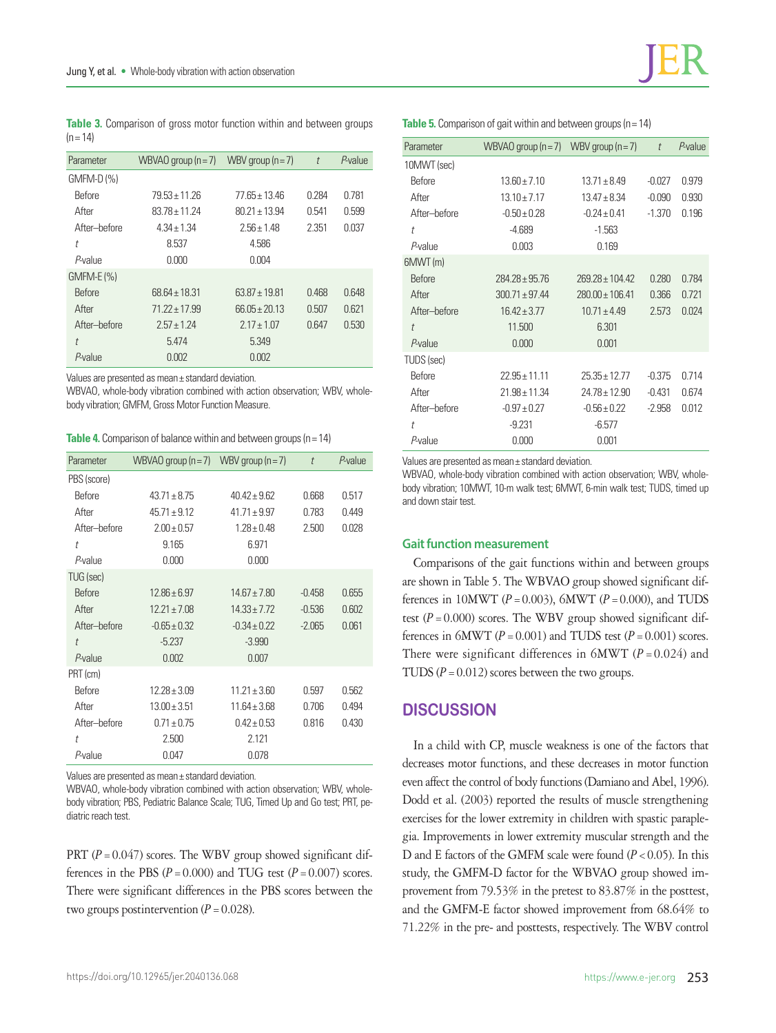**Table 3.** Comparison of gross motor function within and between groups  $(n = 14)$ 

| Parameter     | WBVAO group $(n=7)$ | WBV group $(n=7)$ | $\bar{t}$ | $P$ -value |
|---------------|---------------------|-------------------|-----------|------------|
| GMFM-D (%)    |                     |                   |           |            |
| <b>Before</b> | $79.53 + 11.26$     | 77 65 + 13 46     | 0.284     | 0.781      |
| After         | $83.78 + 11.24$     | $80.21 + 13.94$   | 0.541     | 0.599      |
| After-before  | $4.34 + 1.34$       | $2.56 + 1.48$     | 2.351     | 0.037      |
| t             | 8.537               | 4.586             |           |            |
| P-value       | 0.000               | 0.004             |           |            |
| $GMFM-E (%)$  |                     |                   |           |            |
| <b>Before</b> | $68.64 \pm 18.31$   | $63.87 + 19.81$   | 0.468     | 0.648      |
| After         | $71.22 + 17.99$     | $66.05 + 20.13$   | 0.507     | 0.621      |
| After-hefore  | $257 + 124$         | $217 + 107$       | 0647      | 0.530      |
| t             | 5.474               | 5.349             |           |            |
| $P$ -value    | 0.002               | 0.002             |           |            |

Values are presented as mean± standard deviation.

WBVAO, whole-body vibration combined with action observation; WBV, wholebody vibration; GMFM, Gross Motor Function Measure.

**Table 4.** Comparison of balance within and between groups (n = 14)

| Parameter     | WBVAO group $(n=7)$ WBV group $(n=7)$ |                  | $\ddot{\tau}$ | $P$ -value |
|---------------|---------------------------------------|------------------|---------------|------------|
| PBS (score)   |                                       |                  |               |            |
| <b>Before</b> | $43.71 + 8.75$                        | $40.42 + 9.62$   | 0.668         | 0.517      |
| After         | $45.71 \pm 9.12$                      | $4171 + 997$     | 0.783         | 0.449      |
| After-before  | $2.00 \pm 0.57$                       | $1.28 \pm 0.48$  | 2.500         | 0.028      |
| t             | 9.165                                 | 6.971            |               |            |
| P-value       | 0.000                                 | 0.000            |               |            |
| TUG (sec)     |                                       |                  |               |            |
| <b>Before</b> | $12.86 \pm 6.97$                      | $14.67 \pm 7.80$ | $-0.458$      | 0.655      |
| After         | $12.21 \pm 7.08$                      | $14.33 \pm 7.72$ | $-0.536$      | 0.602      |
| After-before  | $-0.65 \pm 0.32$                      | $-0.34 \pm 0.22$ | $-2.065$      | 0.061      |
| $\ddot{\tau}$ | $-5.237$                              | $-3.990$         |               |            |
| $P$ -value    | 0.002                                 | 0.007            |               |            |
| PRT (cm)      |                                       |                  |               |            |
| <b>Before</b> | $12.28 \pm 3.09$                      | $11.21 \pm 3.60$ | 0.597         | 0.562      |
| After         | $13.00 \pm 3.51$                      | $11.64 \pm 3.68$ | 0.706         | 0.494      |
| After-before  | $0.71 \pm 0.75$                       | $0.42 \pm 0.53$  | 0.816         | 0.430      |
| t             | 2.500                                 | 2.121            |               |            |
| P-value       | 0.047                                 | 0.078            |               |            |

Values are presented as mean± standard deviation.

WBVAO, whole-body vibration combined with action observation; WBV, wholebody vibration; PBS, Pediatric Balance Scale; TUG, Timed Up and Go test; PRT, pediatric reach test.

PRT  $(P = 0.047)$  scores. The WBV group showed significant differences in the PBS  $(P = 0.000)$  and TUG test  $(P = 0.007)$  scores. There were significant differences in the PBS scores between the two groups postintervention  $(P = 0.028)$ .

| Parameter     | WBVAO group $(n=7)$ | WBV group $(n=7)$   | $\ddot{\tau}$ | $P$ -value |
|---------------|---------------------|---------------------|---------------|------------|
| 10MWT (sec)   |                     |                     |               |            |
| <b>Before</b> | $13.60 + 7.10$      | $13.71 \pm 8.49$    | $-0.027$      | 0.979      |
| After         | $13.10 \pm 7.17$    | $13.47 \pm 8.34$    | $-0.090$      | 0.930      |
| After-hefore  | $-0.50 \pm 0.28$    | $-0.24 \pm 0.41$    | $-1.370$      | 0.196      |
| t             | $-4.689$            | $-1.563$            |               |            |
| P-value       | 0.003               | 0.169               |               |            |
| 6MWT(m)       |                     |                     |               |            |
| <b>Before</b> | $284.28 \pm 95.76$  | $269.28 \pm 104.42$ | 0.280         | 0.784      |
| After         | $300.71 \pm 97.44$  | $280.00 \pm 106.41$ | 0.366         | 0.721      |
| After-before  | $16.42 \pm 3.77$    | $10.71 \pm 4.49$    | 2.573         | 0.024      |
| $\ddot{l}$    | 11.500              | 6.301               |               |            |
| P-value       | 0.000               | 0.001               |               |            |
| TUDS (sec)    |                     |                     |               |            |
| Before        | $22.95 \pm 11.11$   | $25.35 + 12.77$     | $-0.375$      | 0.714      |
| After         | $21.98 \pm 11.34$   | $24.78 + 12.90$     | $-0.431$      | 0.674      |
| After-before  | $-0.97 \pm 0.27$    | $-0.56 \pm 0.22$    | $-2.958$      | 0.012      |
| t             | $-9.231$            | $-6.577$            |               |            |
| P-value       | 0.000               | 0.001               |               |            |

Values are presented as mean± standard deviation.

WBVAO, whole-body vibration combined with action observation; WBV, wholebody vibration; 10MWT, 10-m walk test; 6MWT, 6-min walk test; TUDS, timed up and down stair test.

# **Gait function measurement**

Comparisons of the gait functions within and between groups are shown in Table 5. The WBVAO group showed significant differences in 10MWT ( $P = 0.003$ ), 6MWT ( $P = 0.000$ ), and TUDS test  $(P = 0.000)$  scores. The WBV group showed significant differences in  $6MWT (P = 0.001)$  and TUDS test  $(P = 0.001)$  scores. There were significant differences in  $6MWT$  ( $P = 0.024$ ) and TUDS ( $P = 0.012$ ) scores between the two groups.

# **DISCUSSION**

In a child with CP, muscle weakness is one of the factors that decreases motor functions, and these decreases in motor function even affect the control of body functions (Damiano and Abel, 1996). Dodd et al. (2003) reported the results of muscle strengthening exercises for the lower extremity in children with spastic paraplegia. Improvements in lower extremity muscular strength and the D and E factors of the GMFM scale were found  $(P < 0.05)$ . In this study, the GMFM-D factor for the WBVAO group showed improvement from 79.53% in the pretest to 83.87% in the posttest, and the GMFM-E factor showed improvement from 68.64% to 71.22% in the pre- and posttests, respectively. The WBV control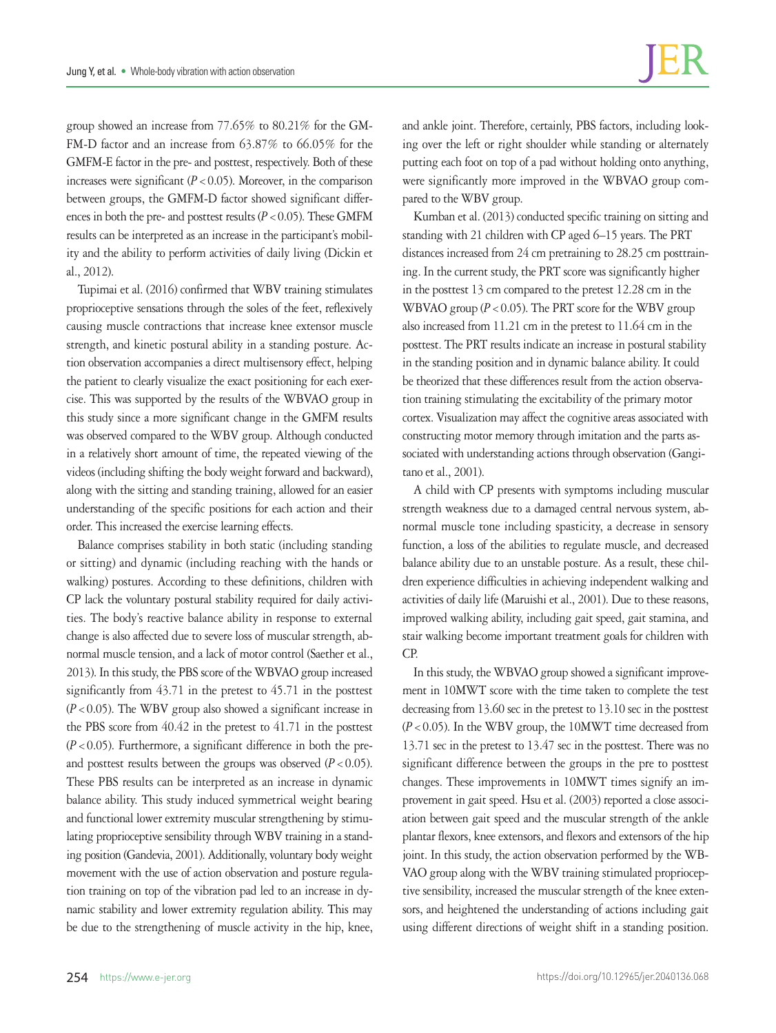group showed an increase from 77.65% to 80.21% for the GM-FM-D factor and an increase from 63.87% to 66.05% for the GMFM-E factor in the pre- and posttest, respectively. Both of these increases were significant  $(P < 0.05)$ . Moreover, in the comparison between groups, the GMFM-D factor showed significant differences in both the pre- and posttest results  $(P < 0.05)$ . These GMFM results can be interpreted as an increase in the participant's mobility and the ability to perform activities of daily living (Dickin et al., 2012).

Tupimai et al. (2016) confirmed that WBV training stimulates proprioceptive sensations through the soles of the feet, reflexively causing muscle contractions that increase knee extensor muscle strength, and kinetic postural ability in a standing posture. Action observation accompanies a direct multisensory effect, helping the patient to clearly visualize the exact positioning for each exercise. This was supported by the results of the WBVAO group in this study since a more significant change in the GMFM results was observed compared to the WBV group. Although conducted in a relatively short amount of time, the repeated viewing of the videos (including shifting the body weight forward and backward), along with the sitting and standing training, allowed for an easier understanding of the specific positions for each action and their order. This increased the exercise learning effects.

Balance comprises stability in both static (including standing or sitting) and dynamic (including reaching with the hands or walking) postures. According to these definitions, children with CP lack the voluntary postural stability required for daily activities. The body's reactive balance ability in response to external change is also affected due to severe loss of muscular strength, abnormal muscle tension, and a lack of motor control (Saether et al., 2013). In this study, the PBS score of the WBVAO group increased significantly from 43.71 in the pretest to 45.71 in the posttest (*P*<0.05). The WBV group also showed a significant increase in the PBS score from 40.42 in the pretest to 41.71 in the posttest  $(P<0.05)$ . Furthermore, a significant difference in both the preand posttest results between the groups was observed  $(P < 0.05)$ . These PBS results can be interpreted as an increase in dynamic balance ability. This study induced symmetrical weight bearing and functional lower extremity muscular strengthening by stimulating proprioceptive sensibility through WBV training in a standing position (Gandevia, 2001). Additionally, voluntary body weight movement with the use of action observation and posture regulation training on top of the vibration pad led to an increase in dynamic stability and lower extremity regulation ability. This may be due to the strengthening of muscle activity in the hip, knee,

and ankle joint. Therefore, certainly, PBS factors, including looking over the left or right shoulder while standing or alternately putting each foot on top of a pad without holding onto anything, were significantly more improved in the WBVAO group compared to the WBV group.

Kumban et al. (2013) conducted specific training on sitting and standing with 21 children with CP aged 6–15 years. The PRT distances increased from 24 cm pretraining to 28.25 cm posttraining. In the current study, the PRT score was significantly higher in the posttest 13 cm compared to the pretest 12.28 cm in the WBVAO group  $(P < 0.05)$ . The PRT score for the WBV group also increased from 11.21 cm in the pretest to 11.64 cm in the posttest. The PRT results indicate an increase in postural stability in the standing position and in dynamic balance ability. It could be theorized that these differences result from the action observation training stimulating the excitability of the primary motor cortex. Visualization may affect the cognitive areas associated with constructing motor memory through imitation and the parts associated with understanding actions through observation (Gangitano et al., 2001).

A child with CP presents with symptoms including muscular strength weakness due to a damaged central nervous system, abnormal muscle tone including spasticity, a decrease in sensory function, a loss of the abilities to regulate muscle, and decreased balance ability due to an unstable posture. As a result, these children experience difficulties in achieving independent walking and activities of daily life (Maruishi et al., 2001). Due to these reasons, improved walking ability, including gait speed, gait stamina, and stair walking become important treatment goals for children with CP.

In this study, the WBVAO group showed a significant improvement in 10MWT score with the time taken to complete the test decreasing from 13.60 sec in the pretest to 13.10 sec in the posttest  $(P<0.05)$ . In the WBV group, the 10MWT time decreased from 13.71 sec in the pretest to 13.47 sec in the posttest. There was no significant difference between the groups in the pre to posttest changes. These improvements in 10MWT times signify an improvement in gait speed. Hsu et al. (2003) reported a close association between gait speed and the muscular strength of the ankle plantar flexors, knee extensors, and flexors and extensors of the hip joint. In this study, the action observation performed by the WB-VAO group along with the WBV training stimulated proprioceptive sensibility, increased the muscular strength of the knee extensors, and heightened the understanding of actions including gait using different directions of weight shift in a standing position.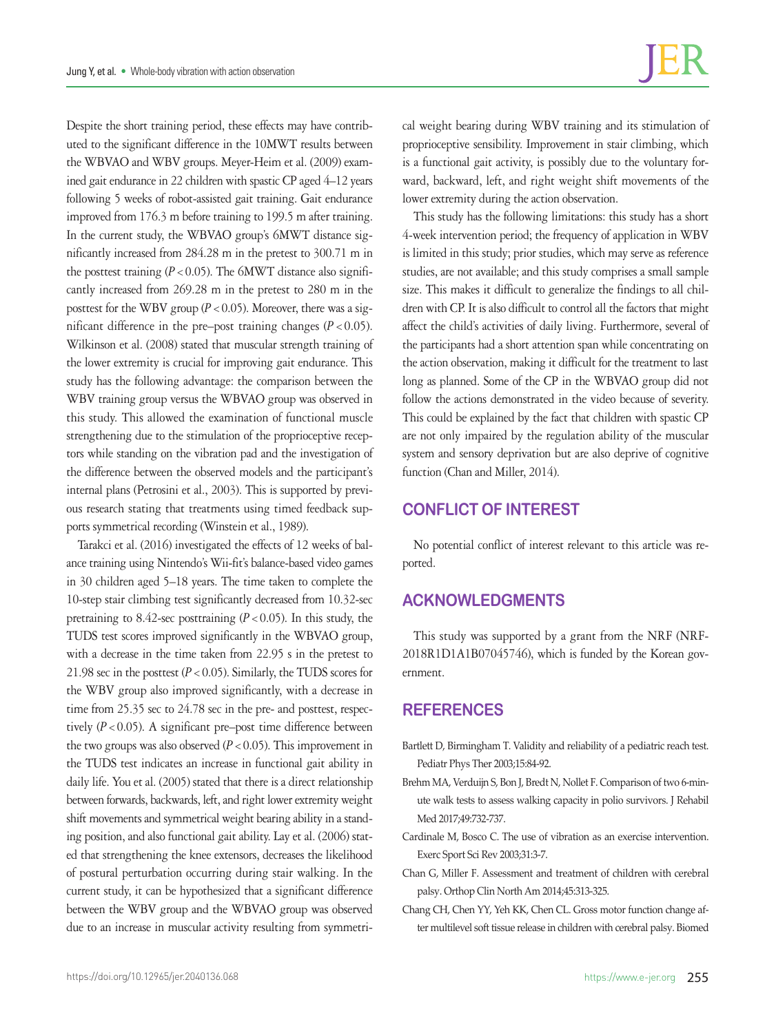Despite the short training period, these effects may have contributed to the significant difference in the 10MWT results between the WBVAO and WBV groups. Meyer-Heim et al. (2009) examined gait endurance in 22 children with spastic CP aged 4–12 years following 5 weeks of robot-assisted gait training. Gait endurance improved from 176.3 m before training to 199.5 m after training. In the current study, the WBVAO group's 6MWT distance significantly increased from 284.28 m in the pretest to 300.71 m in the posttest training  $(P < 0.05)$ . The 6MWT distance also significantly increased from 269.28 m in the pretest to 280 m in the posttest for the WBV group ( $P < 0.05$ ). Moreover, there was a significant difference in the pre–post training changes (*P*<0.05). Wilkinson et al. (2008) stated that muscular strength training of the lower extremity is crucial for improving gait endurance. This study has the following advantage: the comparison between the WBV training group versus the WBVAO group was observed in this study. This allowed the examination of functional muscle strengthening due to the stimulation of the proprioceptive receptors while standing on the vibration pad and the investigation of the difference between the observed models and the participant's internal plans (Petrosini et al., 2003). This is supported by previous research stating that treatments using timed feedback supports symmetrical recording (Winstein et al., 1989).

Tarakci et al. (2016) investigated the effects of 12 weeks of balance training using Nintendo's Wii-fit's balance-based video games in 30 children aged 5–18 years. The time taken to complete the 10-step stair climbing test significantly decreased from 10.32-sec pretraining to 8.42-sec posttraining  $(P < 0.05)$ . In this study, the TUDS test scores improved significantly in the WBVAO group, with a decrease in the time taken from 22.95 s in the pretest to 21.98 sec in the posttest  $(P < 0.05)$ . Similarly, the TUDS scores for the WBV group also improved significantly, with a decrease in time from 25.35 sec to 24.78 sec in the pre- and posttest, respectively (*P*<0.05). A significant pre–post time difference between the two groups was also observed  $(P < 0.05)$ . This improvement in the TUDS test indicates an increase in functional gait ability in daily life. You et al. (2005) stated that there is a direct relationship between forwards, backwards, left, and right lower extremity weight shift movements and symmetrical weight bearing ability in a standing position, and also functional gait ability. Lay et al. (2006) stated that strengthening the knee extensors, decreases the likelihood of postural perturbation occurring during stair walking. In the current study, it can be hypothesized that a significant difference between the WBV group and the WBVAO group was observed due to an increase in muscular activity resulting from symmetrical weight bearing during WBV training and its stimulation of proprioceptive sensibility. Improvement in stair climbing, which is a functional gait activity, is possibly due to the voluntary forward, backward, left, and right weight shift movements of the lower extremity during the action observation.

This study has the following limitations: this study has a short 4-week intervention period; the frequency of application in WBV is limited in this study; prior studies, which may serve as reference studies, are not available; and this study comprises a small sample size. This makes it difficult to generalize the findings to all children with CP. It is also difficult to control all the factors that might affect the child's activities of daily living. Furthermore, several of the participants had a short attention span while concentrating on the action observation, making it difficult for the treatment to last long as planned. Some of the CP in the WBVAO group did not follow the actions demonstrated in the video because of severity. This could be explained by the fact that children with spastic CP are not only impaired by the regulation ability of the muscular system and sensory deprivation but are also deprive of cognitive function (Chan and Miller, 2014).

# **CONFLICT OF INTEREST**

No potential conflict of interest relevant to this article was reported.

# **ACKNOWLEDGMENTS**

This study was supported by a grant from the NRF (NRF-2018R1D1A1B07045746), which is funded by the Korean government.

# **REFERENCES**

- Bartlett D, Birmingham T. Validity and reliability of a pediatric reach test. Pediatr Phys Ther 2003;15:84-92.
- Brehm MA, Verduijn S, Bon J, Bredt N, Nollet F. Comparison of two 6-minute walk tests to assess walking capacity in polio survivors. J Rehabil Med 2017;49:732-737.
- Cardinale M, Bosco C. The use of vibration as an exercise intervention. Exerc Sport Sci Rev 2003;31:3-7.
- Chan G, Miller F. Assessment and treatment of children with cerebral palsy. Orthop Clin North Am 2014;45:313-325.
- Chang CH, Chen YY, Yeh KK, Chen CL. Gross motor function change after multilevel soft tissue release in children with cerebral palsy. Biomed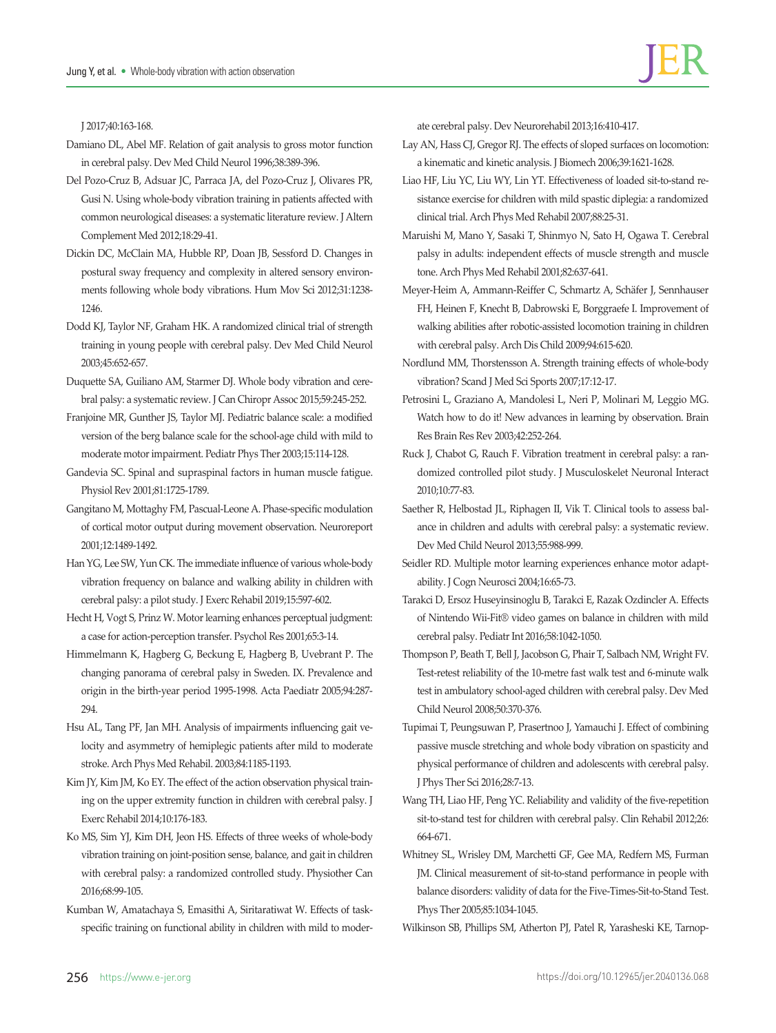J 2017;40:163-168.

- Damiano DL, Abel MF. Relation of gait analysis to gross motor function in cerebral palsy. Dev Med Child Neurol 1996;38:389-396.
- Del Pozo-Cruz B, Adsuar JC, Parraca JA, del Pozo-Cruz J, Olivares PR, Gusi N. Using whole-body vibration training in patients affected with common neurological diseases: a systematic literature review. J Altern Complement Med 2012;18:29-41.
- Dickin DC, McClain MA, Hubble RP, Doan JB, Sessford D. Changes in postural sway frequency and complexity in altered sensory environments following whole body vibrations. Hum Mov Sci 2012;31:1238- 1246.
- Dodd KJ, Taylor NF, Graham HK. A randomized clinical trial of strength training in young people with cerebral palsy. Dev Med Child Neurol 2003;45:652-657.
- Duquette SA, Guiliano AM, Starmer DJ. Whole body vibration and cerebral palsy: a systematic review. J Can Chiropr Assoc 2015;59:245-252.
- Franjoine MR, Gunther JS, Taylor MJ. Pediatric balance scale: a modified version of the berg balance scale for the school-age child with mild to moderate motor impairment. Pediatr Phys Ther 2003;15:114-128.
- Gandevia SC. Spinal and supraspinal factors in human muscle fatigue. Physiol Rev 2001;81:1725-1789.
- Gangitano M, Mottaghy FM, Pascual-Leone A. Phase-specific modulation of cortical motor output during movement observation. Neuroreport 2001;12:1489-1492.
- Han YG, Lee SW, Yun CK. The immediate influence of various whole-body vibration frequency on balance and walking ability in children with cerebral palsy: a pilot study. J Exerc Rehabil 2019;15:597-602.
- Hecht H, Vogt S, Prinz W. Motor learning enhances perceptual judgment: a case for action-perception transfer. Psychol Res 2001;65:3-14.
- Himmelmann K, Hagberg G, Beckung E, Hagberg B, Uvebrant P. The changing panorama of cerebral palsy in Sweden. IX. Prevalence and origin in the birth-year period 1995-1998. Acta Paediatr 2005;94:287- 294.
- Hsu AL, Tang PF, Jan MH. Analysis of impairments influencing gait velocity and asymmetry of hemiplegic patients after mild to moderate stroke. Arch Phys Med Rehabil. 2003;84:1185-1193.
- Kim JY, Kim JM, Ko EY. The effect of the action observation physical training on the upper extremity function in children with cerebral palsy. J Exerc Rehabil 2014;10:176-183.
- Ko MS, Sim YJ, Kim DH, Jeon HS. Effects of three weeks of whole-body vibration training on joint-position sense, balance, and gait in children with cerebral palsy: a randomized controlled study. Physiother Can 2016;68:99-105.
- Kumban W, Amatachaya S, Emasithi A, Siritaratiwat W. Effects of taskspecific training on functional ability in children with mild to moder-

ate cerebral palsy. Dev Neurorehabil 2013;16:410-417.

- Lay AN, Hass CJ, Gregor RJ. The effects of sloped surfaces on locomotion: a kinematic and kinetic analysis. J Biomech 2006;39:1621-1628.
- Liao HF, Liu YC, Liu WY, Lin YT. Effectiveness of loaded sit-to-stand resistance exercise for children with mild spastic diplegia: a randomized clinical trial. Arch Phys Med Rehabil 2007;88:25-31.
- Maruishi M, Mano Y, Sasaki T, Shinmyo N, Sato H, Ogawa T. Cerebral palsy in adults: independent effects of muscle strength and muscle tone. Arch Phys Med Rehabil 2001;82:637-641.
- Meyer-Heim A, Ammann-Reiffer C, Schmartz A, Schäfer J, Sennhauser FH, Heinen F, Knecht B, Dabrowski E, Borggraefe I. Improvement of walking abilities after robotic-assisted locomotion training in children with cerebral palsy. Arch Dis Child 2009;94:615-620.
- Nordlund MM, Thorstensson A. Strength training effects of whole-body vibration? Scand J Med Sci Sports 2007;17:12-17.
- Petrosini L, Graziano A, Mandolesi L, Neri P, Molinari M, Leggio MG. Watch how to do it! New advances in learning by observation. Brain Res Brain Res Rev 2003;42:252-264.
- Ruck J, Chabot G, Rauch F. Vibration treatment in cerebral palsy: a randomized controlled pilot study. J Musculoskelet Neuronal Interact 2010;10:77-83.
- Saether R, Helbostad JL, Riphagen II, Vik T. Clinical tools to assess balance in children and adults with cerebral palsy: a systematic review. Dev Med Child Neurol 2013;55:988-999.
- Seidler RD. Multiple motor learning experiences enhance motor adaptability. J Cogn Neurosci 2004;16:65-73.
- Tarakci D, Ersoz Huseyinsinoglu B, Tarakci E, Razak Ozdincler A. Effects of Nintendo Wii-Fit® video games on balance in children with mild cerebral palsy. Pediatr Int 2016;58:1042-1050.
- Thompson P, Beath T, Bell J, Jacobson G, Phair T, Salbach NM, Wright FV. Test-retest reliability of the 10-metre fast walk test and 6-minute walk test in ambulatory school-aged children with cerebral palsy. Dev Med Child Neurol 2008;50:370-376.
- Tupimai T, Peungsuwan P, Prasertnoo J, Yamauchi J. Effect of combining passive muscle stretching and whole body vibration on spasticity and physical performance of children and adolescents with cerebral palsy. J Phys Ther Sci 2016;28:7-13.
- Wang TH, Liao HF, Peng YC. Reliability and validity of the five-repetition sit-to-stand test for children with cerebral palsy. Clin Rehabil 2012;26: 664-671.
- Whitney SL, Wrisley DM, Marchetti GF, Gee MA, Redfern MS, Furman JM. Clinical measurement of sit-to-stand performance in people with balance disorders: validity of data for the Five-Times-Sit-to-Stand Test. Phys Ther 2005;85:1034-1045.
- Wilkinson SB, Phillips SM, Atherton PJ, Patel R, Yarasheski KE, Tarnop-